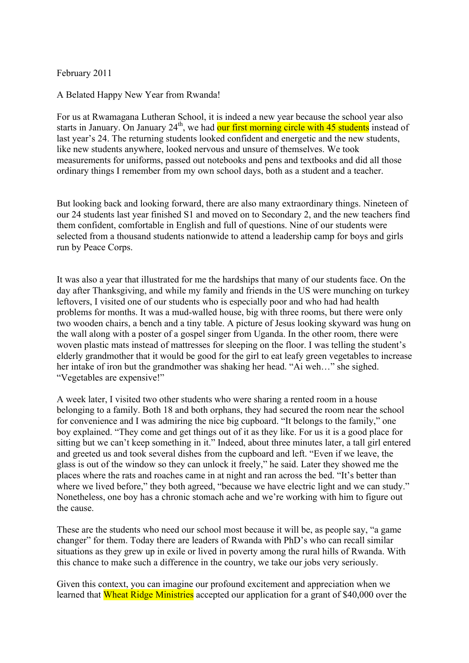February 2011

A Belated Happy New Year from Rwanda!

For us at Rwamagana Lutheran School, it is indeed a new year because the school year also starts in January. On January  $24<sup>th</sup>$ , we had our first morning circle with 45 students instead of last year's 24. The returning students looked confident and energetic and the new students, like new students anywhere, looked nervous and unsure of themselves. We took measurements for uniforms, passed out notebooks and pens and textbooks and did all those ordinary things I remember from my own school days, both as a student and a teacher.

But looking back and looking forward, there are also many extraordinary things. Nineteen of our 24 students last year finished S1 and moved on to Secondary 2, and the new teachers find them confident, comfortable in English and full of questions. Nine of our students were selected from a thousand students nationwide to attend a leadership camp for boys and girls run by Peace Corps.

It was also a year that illustrated for me the hardships that many of our students face. On the day after Thanksgiving, and while my family and friends in the US were munching on turkey leftovers, I visited one of our students who is especially poor and who had had health problems for months. It was a mud-walled house, big with three rooms, but there were only two wooden chairs, a bench and a tiny table. A picture of Jesus looking skyward was hung on the wall along with a poster of a gospel singer from Uganda. In the other room, there were woven plastic mats instead of mattresses for sleeping on the floor. I was telling the student's elderly grandmother that it would be good for the girl to eat leafy green vegetables to increase her intake of iron but the grandmother was shaking her head. "Ai weh…" she sighed. "Vegetables are expensive!"

A week later, I visited two other students who were sharing a rented room in a house belonging to a family. Both 18 and both orphans, they had secured the room near the school for convenience and I was admiring the nice big cupboard. "It belongs to the family," one boy explained. "They come and get things out of it as they like. For us it is a good place for sitting but we can't keep something in it." Indeed, about three minutes later, a tall girl entered and greeted us and took several dishes from the cupboard and left. "Even if we leave, the glass is out of the window so they can unlock it freely," he said. Later they showed me the places where the rats and roaches came in at night and ran across the bed. "It's better than where we lived before," they both agreed, "because we have electric light and we can study." Nonetheless, one boy has a chronic stomach ache and we're working with him to figure out the cause.

These are the students who need our school most because it will be, as people say, "a game changer" for them. Today there are leaders of Rwanda with PhD's who can recall similar situations as they grew up in exile or lived in poverty among the rural hills of Rwanda. With this chance to make such a difference in the country, we take our jobs very seriously.

Given this context, you can imagine our profound excitement and appreciation when we learned that Wheat Ridge Ministries accepted our application for a grant of \$40,000 over the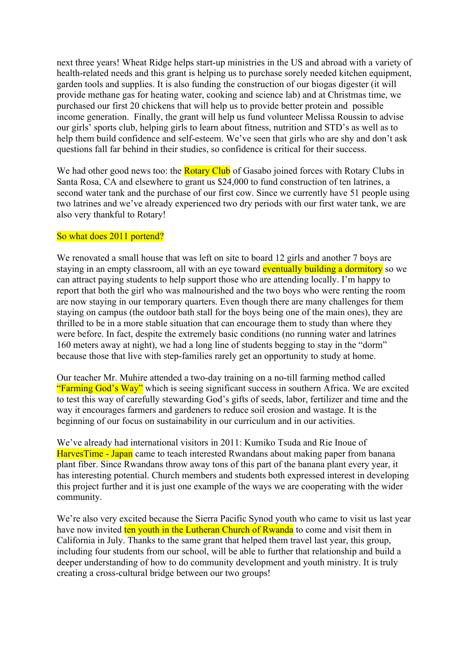next three years! Wheat Ridge helps start-up ministries in the US and abroad with a variety of health-related needs and this grant is helping us to purchase sorely needed kitchen equipment, garden tools and supplies. It is also funding the construction of our biogas digester (it will provide methane gas for heating water, cooking and science lab) and at Christmas time, we purchased our first 20 chickens that will help us to provide better protein and possible income generation. Finally, the grant will help us fund volunteer Melissa Roussin to advise our girls' sports club, helping girls to learn about fitness, nutrition and STD's as well as to help them build confidence and self-esteem. We've seen that girls who are shy and don't ask questions fall far behind in their studies, so confidence is critical for their success.

We had other good news too: the **Rotary Club** of Gasabo joined forces with Rotary Clubs in Santa Rosa, CA and elsewhere to grant us \$24,000 to fund construction of ten latrines, a second water tank and the purchase of our first cow. Since we currently have 51 people using two latrines and we've already experienced two dry periods with our first water tank, we are also very thankful to Rotary!

## So what does 2011 portend?

We renovated a small house that was left on site to board 12 girls and another 7 boys are staying in an empty classroom, all with an eye toward eventually building a dormitory so we can attract paying students to help support those who are attending locally. I'm happy to report that both the girl who was malnourished and the two boys who were renting the room are now staying in our temporary quarters. Even though there are many challenges for them staying on campus (the outdoor bath stall for the boys being one of the main ones), they are thrilled to be in a more stable situation that can encourage them to study than where they were before. In fact, despite the extremely basic conditions (no running water and latrines 160 meters away at night), we had a long line of students begging to stay in the "dorm" because those that live with step-families rarely get an opportunity to study at home.

Our teacher Mr. Muhire attended a two-day training on a no-till farming method called "Farming God's Way" which is seeing significant success in southern Africa. We are excited to test this way of carefully stewarding God's gifts of seeds, labor, fertilizer and time and the way it encourages farmers and gardeners to reduce soil erosion and wastage. It is the beginning of our focus on sustainability in our curriculum and in our activities.

We've already had international visitors in 2011: Kumiko Tsuda and Rie Inoue of HarvesTime - Japan came to teach interested Rwandans about making paper from banana plant fiber. Since Rwandans throw away tons of this part of the banana plant every year, it has interesting potential. Church members and students both expressed interest in developing this project further and it is just one example of the ways we are cooperating with the wider community.

We're also very excited because the Sierra Pacific Synod youth who came to visit us last year have now invited ten youth in the Lutheran Church of Rwanda to come and visit them in California in July. Thanks to the same grant that helped them travel last year, this group, including four students from our school, will be able to further that relationship and build a deeper understanding of how to do community development and youth ministry. It is truly creating a cross-cultural bridge between our two groups!